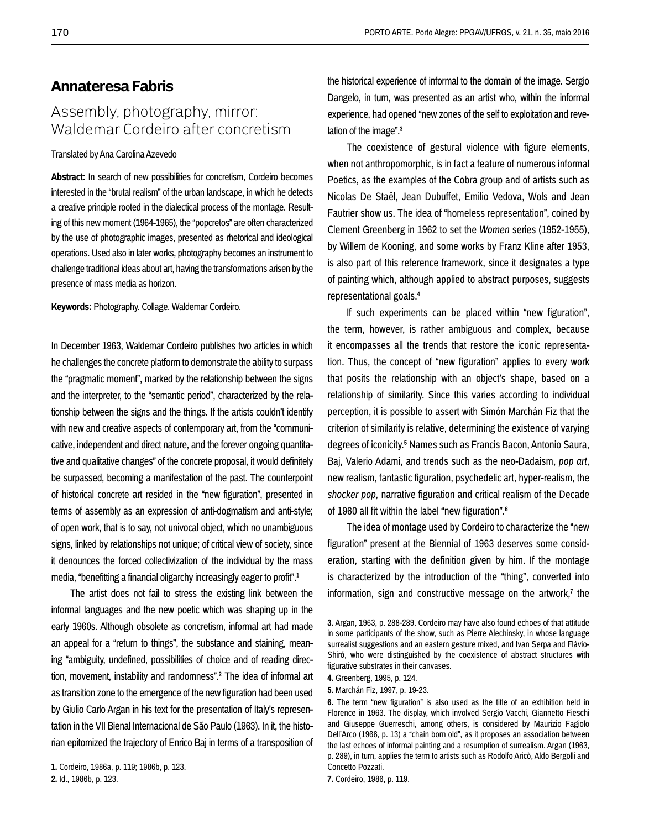## **Annateresa Fabris**

# Assembly, photography, mirror: Waldemar Cordeiro after concretism

### Translated by Ana Carolina Azevedo

**Abstract:** In search of new possibilities for concretism, Cordeiro becomes interested in the "brutal realism" of the urban landscape, in which he detects a creative principle rooted in the dialectical process of the montage. Resulting of this new moment (1964-1965), the "popcretos" are often characterized by the use of photographic images, presented as rhetorical and ideological operations. Used also in later works, photography becomes an instrument to challenge traditional ideas about art, having the transformations arisen by the presence of mass media as horizon.

**Keywords:** Photography. Collage. Waldemar Cordeiro.

In December 1963, Waldemar Cordeiro publishes two articles in which he challenges the concrete platform to demonstrate the ability to surpass the "pragmatic moment", marked by the relationship between the signs and the interpreter, to the "semantic period", characterized by the relationship between the signs and the things. If the artists couldn't identify with new and creative aspects of contemporary art, from the "communicative, independent and direct nature, and the forever ongoing quantitative and qualitative changes" of the concrete proposal, it would definitely be surpassed, becoming a manifestation of the past. The counterpoint of historical concrete art resided in the "new figuration", presented in terms of assembly as an expression of anti-dogmatism and anti-style; of open work, that is to say, not univocal object, which no unambiguous signs, linked by relationships not unique; of critical view of society, since it denounces the forced collectivization of the individual by the mass media, "benefitting a financial oligarchy increasingly eager to profit".1

The artist does not fail to stress the existing link between the informal languages and the new poetic which was shaping up in the early 1960s. Although obsolete as concretism, informal art had made an appeal for a "return to things", the substance and staining, meaning "ambiguity, undefined, possibilities of choice and of reading direction, movement, instability and randomness".2 The idea of informal art as transition zone to the emergence of the new figuration had been used by Giulio Carlo Argan in his text for the presentation of Italy's representation in the VII Bienal Internacional de São Paulo (1963). In it, the historian epitomized the trajectory of Enrico Baj in terms of a transposition of the historical experience of informal to the domain of the image. Sergio Dangelo, in turn, was presented as an artist who, within the informal experience, had opened "new zones of the self to exploitation and revelation of the image".3

The coexistence of gestural violence with figure elements, when not anthropomorphic, is in fact a feature of numerous informal Poetics, as the examples of the Cobra group and of artists such as Nicolas De Staël, Jean Dubuffet, Emilio Vedova, Wols and Jean Fautrier show us. The idea of "homeless representation", coined by Clement Greenberg in 1962 to set the *Women* series (1952-1955), by Willem de Kooning, and some works by Franz Kline after 1953, is also part of this reference framework, since it designates a type of painting which, although applied to abstract purposes, suggests representational goals.4

If such experiments can be placed within "new figuration", the term, however, is rather ambiguous and complex, because it encompasses all the trends that restore the iconic representation. Thus, the concept of "new figuration" applies to every work that posits the relationship with an object's shape, based on a relationship of similarity. Since this varies according to individual perception, it is possible to assert with Simón Marchán Fiz that the criterion of similarity is relative, determining the existence of varying degrees of iconicity.5 Names such as Francis Bacon, Antonio Saura, Baj, Valerio Adami, and trends such as the neo-Dadaism, *pop art*, new realism, fantastic figuration, psychedelic art, hyper-realism, the *shocker pop,* narrative figuration and critical realism of the Decade of 1960 all fit within the label "new figuration".6

The idea of montage used by Cordeiro to characterize the "new figuration" present at the Biennial of 1963 deserves some consideration, starting with the definition given by him. If the montage is characterized by the introduction of the "thing", converted into information, sign and constructive message on the artwork,<sup> $7$ </sup> the

**5.** Marchán Fiz, 1997, p. 19-23.

**<sup>1.</sup>** Cordeiro, 1986a, p. 119; 1986b, p. 123.

**<sup>2.</sup>** Id., 1986b, p. 123.

**<sup>3.</sup>** Argan, 1963, p. 288-289. Cordeiro may have also found echoes of that attitude in some participants of the show, such as Pierre Alechinsky, in whose language surrealist suggestions and an eastern gesture mixed, and Ivan Serpa and Flávio-Shiró, who were distinguished by the coexistence of abstract structures with figurative substrates in their canvases.

**<sup>4.</sup>** Greenberg, 1995, p. 124.

**<sup>6.</sup>** The term "new figuration" is also used as the title of an exhibition held in Florence in 1963. The display, which involved Sergio Vacchi, Giannetto Fieschi and Giuseppe Guerreschi, among others, is considered by Maurizio Fagiolo Dell'Arco (1966, p. 13) a "chain born old", as it proposes an association between the last echoes of informal painting and a resumption of surrealism. Argan (1963, p. 289), in turn, applies the term to artists such as Rodolfo Aricò, Aldo Bergolli and Concetto Pozzati.

**<sup>7.</sup>** Cordeiro, 1986, p. 119.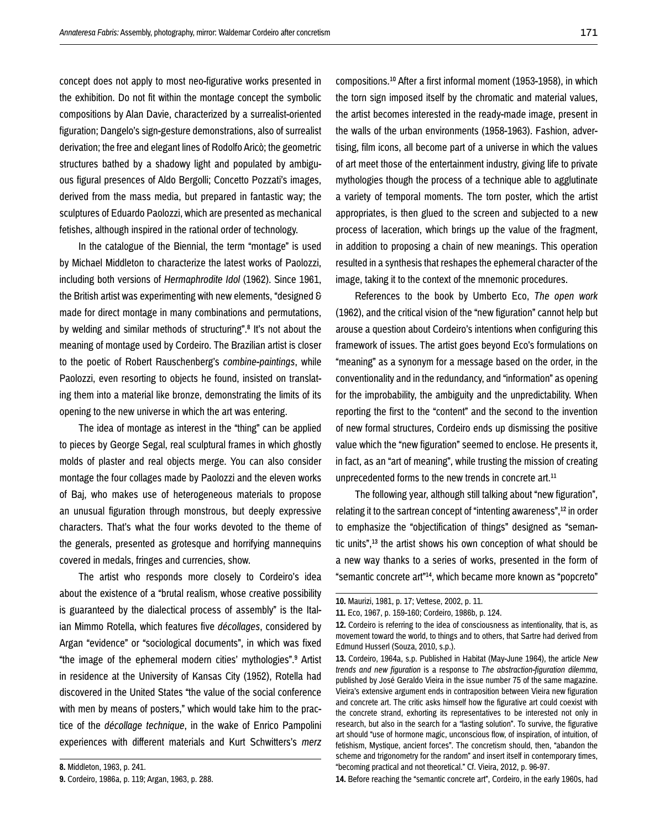concept does not apply to most neo-figurative works presented in the exhibition. Do not fit within the montage concept the symbolic compositions by Alan Davie, characterized by a surrealist-oriented figuration; Dangelo's sign-gesture demonstrations, also of surrealist derivation; the free and elegant lines of Rodolfo Aricò; the geometric structures bathed by a shadowy light and populated by ambiguous figural presences of Aldo Bergolli; Concetto Pozzati's images, derived from the mass media, but prepared in fantastic way; the sculptures of Eduardo Paolozzi, which are presented as mechanical fetishes, although inspired in the rational order of technology.

In the catalogue of the Biennial, the term "montage" is used by Michael Middleton to characterize the latest works of Paolozzi, including both versions of *Hermaphrodite Idol* (1962). Since 1961, the British artist was experimenting with new elements, "designed & made for direct montage in many combinations and permutations, by welding and similar methods of structuring".8 It's not about the meaning of montage used by Cordeiro. The Brazilian artist is closer to the poetic of Robert Rauschenberg's *combine-paintings*, while Paolozzi, even resorting to objects he found, insisted on translating them into a material like bronze, demonstrating the limits of its opening to the new universe in which the art was entering.

The idea of montage as interest in the "thing" can be applied to pieces by George Segal, real sculptural frames in which ghostly molds of plaster and real objects merge. You can also consider montage the four collages made by Paolozzi and the eleven works of Baj, who makes use of heterogeneous materials to propose an unusual figuration through monstrous, but deeply expressive characters. That's what the four works devoted to the theme of the generals, presented as grotesque and horrifying mannequins covered in medals, fringes and currencies, show.

The artist who responds more closely to Cordeiro's idea about the existence of a "brutal realism, whose creative possibility is guaranteed by the dialectical process of assembly" is the Italian Mimmo Rotella, which features five *décollages*, considered by Argan "evidence" or "sociological documents", in which was fixed "the image of the ephemeral modern cities' mythologies".9 Artist in residence at the University of Kansas City (1952), Rotella had discovered in the United States "the value of the social conference with men by means of posters," which would take him to the practice of the *décollage technique*, in the wake of Enrico Pampolini experiences with different materials and Kurt Schwitters's *merz*  compositions*.*10 After a first informal moment (1953-1958), in which the torn sign imposed itself by the chromatic and material values, the artist becomes interested in the ready-made image, present in the walls of the urban environments (1958-1963). Fashion, advertising, film icons, all become part of a universe in which the values of art meet those of the entertainment industry, giving life to private mythologies though the process of a technique able to agglutinate a variety of temporal moments. The torn poster, which the artist appropriates, is then glued to the screen and subjected to a new process of laceration, which brings up the value of the fragment, in addition to proposing a chain of new meanings. This operation resulted in a synthesis that reshapes the ephemeral character of the image, taking it to the context of the mnemonic procedures.

References to the book by Umberto Eco, *The open work* (1962), and the critical vision of the "new figuration" cannot help but arouse a question about Cordeiro's intentions when configuring this framework of issues. The artist goes beyond Eco's formulations on "meaning" as a synonym for a message based on the order, in the conventionality and in the redundancy, and "information" as opening for the improbability, the ambiguity and the unpredictability. When reporting the first to the "content" and the second to the invention of new formal structures, Cordeiro ends up dismissing the positive value which the "new figuration" seemed to enclose. He presents it, in fact, as an "art of meaning", while trusting the mission of creating unprecedented forms to the new trends in concrete art.<sup>11</sup>

The following year, although still talking about "new figuration", relating it to the sartrean concept of "intenting awareness",<sup>12</sup> in order to emphasize the "objectification of things" designed as "semantic units",13 the artist shows his own conception of what should be a new way thanks to a series of works, presented in the form of "semantic concrete art"14, which became more known as "popcreto"

**14.** Before reaching the "semantic concrete art", Cordeiro, in the early 1960s, had

**<sup>8.</sup>** Middleton, 1963, p. 241.

**<sup>9.</sup>** Cordeiro, 1986a, p. 119; Argan, 1963, p. 288.

**<sup>10.</sup>** Maurizi, 1981, p. 17; Vettese, 2002, p. 11.

**<sup>11.</sup>** Eco, 1967, p. 159-160; Cordeiro, 1986b, p. 124.

**<sup>12.</sup>** Cordeiro is referring to the idea of consciousness as intentionality, that is, as movement toward the world, to things and to others, that Sartre had derived from Edmund Husserl (Souza, 2010, s.p.).

**<sup>13.</sup>** Cordeiro, 1964a, s.p. Published in Habitat (May-June 1964), the article *New trends and new figuration* is a response to *The abstraction-figuration dilemma*, published by José Geraldo Vieira in the issue number 75 of the same magazine. Vieira's extensive argument ends in contraposition between Vieira new figuration and concrete art. The critic asks himself how the figurative art could coexist with the concrete strand, exhorting its representatives to be interested not only in research, but also in the search for a "lasting solution". To survive, the figurative art should "use of hormone magic, unconscious flow, of inspiration, of intuition, of fetishism, Mystique, ancient forces". The concretism should, then, "abandon the scheme and trigonometry for the random" and insert itself in contemporary times, "becoming practical and not theoretical." Cf. Vieira, 2012, p. 96-97.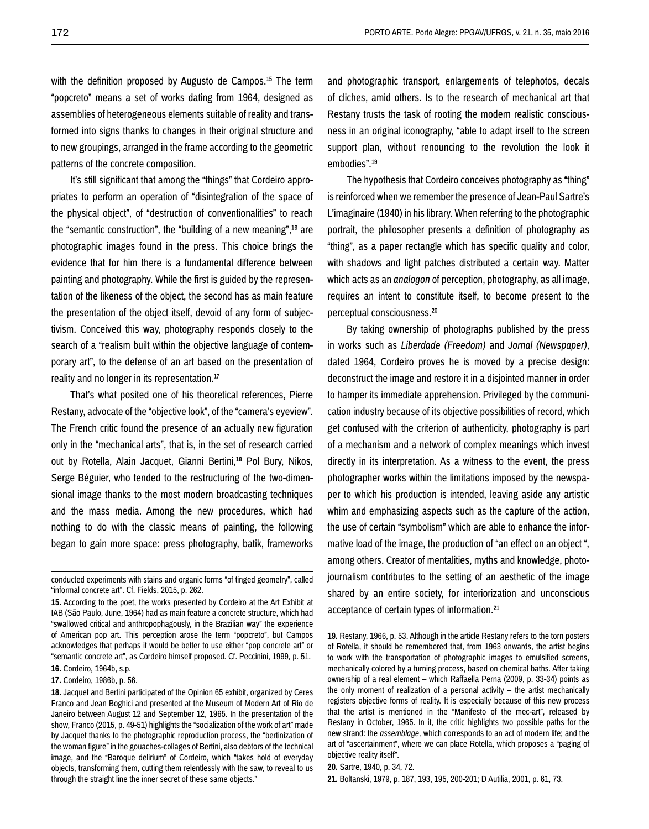with the definition proposed by Augusto de Campos.<sup>15</sup> The term "popcreto" means a set of works dating from 1964, designed as assemblies of heterogeneous elements suitable of reality and transformed into signs thanks to changes in their original structure and to new groupings, arranged in the frame according to the geometric patterns of the concrete composition.

It's still significant that among the "things" that Cordeiro appropriates to perform an operation of "disintegration of the space of the physical object", of "destruction of conventionalities" to reach the "semantic construction", the "building of a new meaning",16 are photographic images found in the press. This choice brings the evidence that for him there is a fundamental difference between painting and photography. While the first is guided by the representation of the likeness of the object, the second has as main feature the presentation of the object itself, devoid of any form of subjectivism. Conceived this way, photography responds closely to the search of a "realism built within the objective language of contemporary art", to the defense of an art based on the presentation of reality and no longer in its representation.<sup>17</sup>

That's what posited one of his theoretical references, Pierre Restany, advocate of the "objective look", of the "camera's eyeview". The French critic found the presence of an actually new figuration only in the "mechanical arts", that is, in the set of research carried out by Rotella, Alain Jacquet, Gianni Bertini,<sup>18</sup> Pol Bury, Nikos, Serge Béguier, who tended to the restructuring of the two-dimensional image thanks to the most modern broadcasting techniques and the mass media. Among the new procedures, which had nothing to do with the classic means of painting, the following began to gain more space: press photography, batik, frameworks

**16.** Cordeiro, 1964b, s.p.

**17.** Cordeiro, 1986b, p. 56.

and photographic transport, enlargements of telephotos, decals of cliches, amid others. Is to the research of mechanical art that Restany trusts the task of rooting the modern realistic consciousness in an original iconography, "able to adapt irself to the screen support plan, without renouncing to the revolution the look it embodies".19

The hypothesis that Cordeiro conceives photography as "thing" is reinforced when we remember the presence of Jean-Paul Sartre's L'imaginaire (1940) in his library. When referring to the photographic portrait, the philosopher presents a definition of photography as "thing", as a paper rectangle which has specific quality and color, with shadows and light patches distributed a certain way. Matter which acts as an *analogon* of perception, photography, as all image, requires an intent to constitute itself, to become present to the perceptual consciousness.20

By taking ownership of photographs published by the press in works such as *Liberdade (Freedom)* and *Jornal (Newspaper)*, dated 1964, Cordeiro proves he is moved by a precise design: deconstruct the image and restore it in a disjointed manner in order to hamper its immediate apprehension. Privileged by the communication industry because of its objective possibilities of record, which get confused with the criterion of authenticity, photography is part of a mechanism and a network of complex meanings which invest directly in its interpretation. As a witness to the event, the press photographer works within the limitations imposed by the newspaper to which his production is intended, leaving aside any artistic whim and emphasizing aspects such as the capture of the action, the use of certain "symbolism" which are able to enhance the informative load of the image, the production of "an effect on an object ", among others. Creator of mentalities, myths and knowledge, photojournalism contributes to the setting of an aesthetic of the image shared by an entire society, for interiorization and unconscious acceptance of certain types of information.21

**21.** Boltanski, 1979, p. 187, 193, 195, 200-201; D Autilia, 2001, p. 61, 73.

conducted experiments with stains and organic forms "of tinged geometry", called "informal concrete art". Cf. Fields, 2015, p. 262.

**<sup>15.</sup>** According to the poet, the works presented by Cordeiro at the Art Exhibit at IAB (São Paulo, June, 1964) had as main feature a concrete structure, which had "swallowed critical and anthropophagously, in the Brazilian way" the experience of American pop art. This perception arose the term "popcreto", but Campos acknowledges that perhaps it would be better to use either "pop concrete art" or "semantic concrete art", as Cordeiro himself proposed. Cf. Peccinini, 1999, p. 51.

**<sup>18.</sup>** Jacquet and Bertini participated of the Opinion 65 exhibit, organized by Ceres Franco and Jean Boghici and presented at the Museum of Modern Art of Rio de Janeiro between August 12 and September 12, 1965. In the presentation of the show, Franco (2015, p. 49-51) highlights the "socialization of the work of art" made by Jacquet thanks to the photographic reproduction process, the "bertinization of the woman figure" in the gouaches-collages of Bertini, also debtors of the technical image, and the "Baroque delirium" of Cordeiro, which "takes hold of everyday objects, transforming them, cutting them relentlessly with the saw, to reveal to us through the straight line the inner secret of these same objects."

**<sup>19.</sup>** Restany, 1966, p. 53. Although in the article Restany refers to the torn posters of Rotella, it should be remembered that, from 1963 onwards, the artist begins to work with the transportation of photographic images to emulsified screens, mechanically colored by a turning process, based on chemical baths. After taking ownership of a real element – which Raffaella Perna (2009, p. 33-34) points as the only moment of realization of a personal activity – the artist mechanically registers objective forms of reality. It is especially because of this new process that the artist is mentioned in the "Manifesto of the mec-art", released by Restany in October, 1965. In it, the critic highlights two possible paths for the new strand: the *assemblage,* which corresponds to an act of modern life; and the art of "ascertainment", where we can place Rotella, which proposes a "paging of objective reality itself".

**<sup>20.</sup>** Sartre, 1940, p. 34, 72.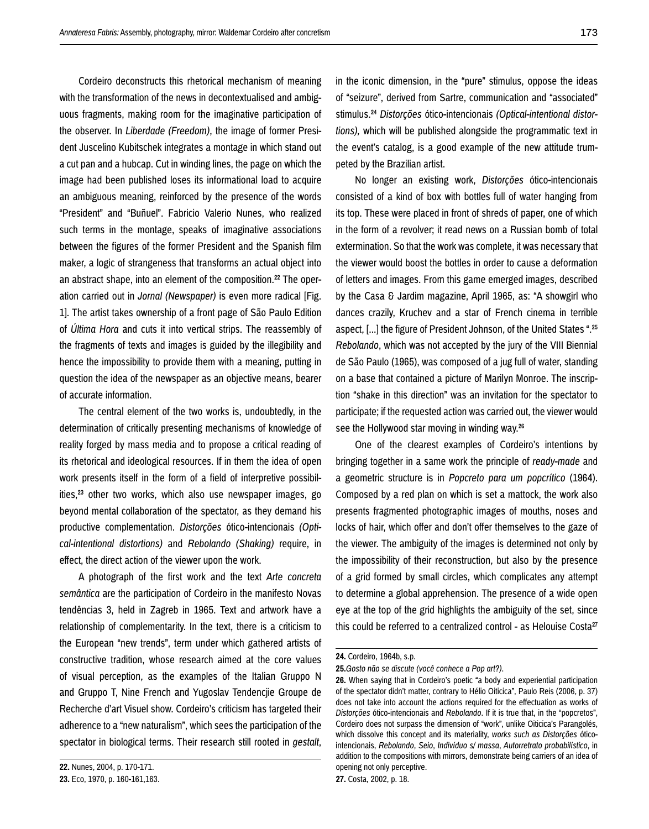Cordeiro deconstructs this rhetorical mechanism of meaning with the transformation of the news in decontextualised and ambiguous fragments, making room for the imaginative participation of the observer. In *Liberdade (Freedom)*, the image of former President Juscelino Kubitschek integrates a montage in which stand out a cut pan and a hubcap. Cut in winding lines, the page on which the image had been published loses its informational load to acquire an ambiguous meaning, reinforced by the presence of the words "President" and "Buñuel". Fabricio Valerio Nunes, who realized such terms in the montage, speaks of imaginative associations between the figures of the former President and the Spanish film maker, a logic of strangeness that transforms an actual object into an abstract shape, into an element of the composition.<sup>22</sup> The operation carried out in *Jornal (Newspaper)* is even more radical [Fig. 1]. The artist takes ownership of a front page of São Paulo Edition of *Última Hora* and cuts it into vertical strips. The reassembly of the fragments of texts and images is guided by the illegibility and hence the impossibility to provide them with a meaning, putting in question the idea of the newspaper as an objective means, bearer of accurate information.

The central element of the two works is, undoubtedly, in the determination of critically presenting mechanisms of knowledge of reality forged by mass media and to propose a critical reading of its rhetorical and ideological resources. If in them the idea of open work presents itself in the form of a field of interpretive possibilities,<sup>23</sup> other two works, which also use newspaper images, go beyond mental collaboration of the spectator, as they demand his productive complementation. *Distorções* ótico-intencionais *(Optical-intentional distortions)* and *Rebolando (Shaking)* require, in effect, the direct action of the viewer upon the work.

A photograph of the first work and the text *Arte concreta semântica* are the participation of Cordeiro in the manifesto Novas tendências 3, held in Zagreb in 1965. Text and artwork have a relationship of complementarity. In the text, there is a criticism to the European "new trends", term under which gathered artists of constructive tradition, whose research aimed at the core values of visual perception, as the examples of the Italian Gruppo N and Gruppo T, Nine French and Yugoslav Tendencjie Groupe de Recherche d'art Visuel show. Cordeiro's criticism has targeted their adherence to a "new naturalism", which sees the participation of the spectator in biological terms. Their research still rooted in *gestalt*,

**22.** Nunes, 2004, p. 170-171.

in the iconic dimension, in the "pure" stimulus, oppose the ideas of "seizure", derived from Sartre, communication and "associated" stimulus.24 *Distorções* ótico-intencionais *(Optical-intentional distortions),* which will be published alongside the programmatic text in the event's catalog, is a good example of the new attitude trumpeted by the Brazilian artist.

No longer an existing work, *Distorções* ótico-intencionais consisted of a kind of box with bottles full of water hanging from its top. These were placed in front of shreds of paper, one of which in the form of a revolver; it read news on a Russian bomb of total extermination. So that the work was complete, it was necessary that the viewer would boost the bottles in order to cause a deformation of letters and images. From this game emerged images, described by the Casa & Jardim magazine, April 1965, as: "A showgirl who dances crazily, Kruchev and a star of French cinema in terrible aspect, [...] the figure of President Johnson, of the United States ".25 *Rebolando*, which was not accepted by the jury of the VIII Biennial de São Paulo (1965), was composed of a jug full of water, standing on a base that contained a picture of Marilyn Monroe. The inscription "shake in this direction" was an invitation for the spectator to participate; if the requested action was carried out, the viewer would see the Hollywood star moving in winding way.26

One of the clearest examples of Cordeiro's intentions by bringing together in a same work the principle of *ready-made* and a geometric structure is in *Popcreto para um popcrítico* (1964). Composed by a red plan on which is set a mattock, the work also presents fragmented photographic images of mouths, noses and locks of hair, which offer and don't offer themselves to the gaze of the viewer. The ambiguity of the images is determined not only by the impossibility of their reconstruction, but also by the presence of a grid formed by small circles, which complicates any attempt to determine a global apprehension. The presence of a wide open eye at the top of the grid highlights the ambiguity of the set, since this could be referred to a centralized control - as Helouise Costa<sup>27</sup>

**<sup>23.</sup>** Eco, 1970, p. 160-161,163.

**<sup>24.</sup>** Cordeiro, 1964b, s.p.

**<sup>25.</sup>***Gosto não se discute (você conhece a Pop art?)*.

**<sup>26.</sup>** When saying that in Cordeiro's poetic "a body and experiential participation of the spectator didn't matter, contrary to Hélio Oiticica", Paulo Reis (2006, p. 37) does not take into account the actions required for the effectuation as works of *Distorções* ótico-intencionais and *Rebolando*. If it is true that, in the "popcretos", Cordeiro does not surpass the dimension of "work", unlike Oiticica's Parangolés, which dissolve this concept and its materiality, *works such as Distorções* óticointencionais, *Rebolando*, *Seio*, *Indivíduo s/ massa*, *Autorretrato probabilístico*, in addition to the compositions with mirrors, demonstrate being carriers of an idea of opening not only perceptive.

**<sup>27.</sup>** Costa, 2002, p. 18.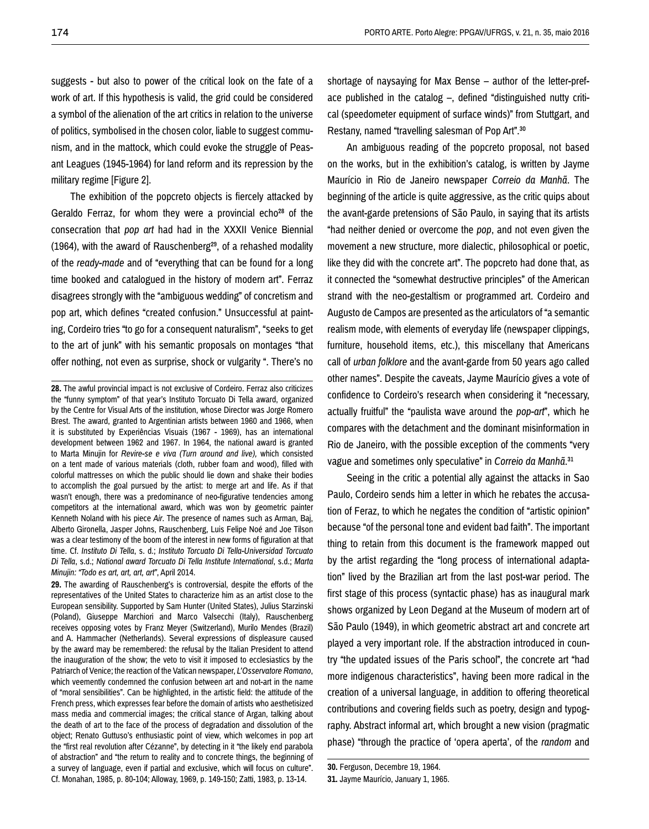suggests - but also to power of the critical look on the fate of a work of art. If this hypothesis is valid, the grid could be considered a symbol of the alienation of the art critics in relation to the universe of politics, symbolised in the chosen color, liable to suggest communism, and in the mattock, which could evoke the struggle of Peasant Leagues (1945-1964) for land reform and its repression by the military regime [Figure 2].

The exhibition of the popcreto objects is fiercely attacked by Geraldo Ferraz, for whom they were a provincial echo<sup>28</sup> of the consecration that *pop art* had had in the XXXII Venice Biennial (1964), with the award of Rauschenberg29, of a rehashed modality of the *ready-made* and of "everything that can be found for a long time booked and catalogued in the history of modern art". Ferraz disagrees strongly with the "ambiguous wedding" of concretism and pop art, which defines "created confusion." Unsuccessful at painting, Cordeiro tries "to go for a consequent naturalism", "seeks to get to the art of junk" with his semantic proposals on montages "that offer nothing, not even as surprise, shock or vulgarity ". There's no

**28.** The awful provincial impact is not exclusive of Cordeiro. Ferraz also criticizes the "funny symptom" of that year's Instituto Torcuato Di Tella award, organized by the Centre for Visual Arts of the institution, whose Director was Jorge Romero Brest. The award, granted to Argentinian artists between 1960 and 1966, when it is substituted by Experiências Visuais (1967 - 1969), has an international development between 1962 and 1967. In 1964, the national award is granted to Marta Minujin for *Revire-se e viva (Turn around and live),* which consisted on a tent made of various materials (cloth, rubber foam and wood), filled with colorful mattresses on which the public should lie down and shake their bodies to accomplish the goal pursued by the artist: to merge art and life. As if that wasn't enough, there was a predominance of neo-figurative tendencies among competitors at the international award, which was won by geometric painter Kenneth Noland with his piece *Air*. The presence of names such as Arman, Baj, Alberto Gironella, Jasper Johns, Rauschenberg, Luis Felipe Noé and Joe Tilson was a clear testimony of the boom of the interest in new forms of figuration at that time. Cf. *Instituto Di Tella*, s. d.; *Instituto Torcuato Di Tella-Universidad Torcuato Di Tella*, s.d.; *National award Torcuato Di Tella Institute International*, s.d.; *Marta Minujin: "Todo es art, art, art, art"*, April 2014.

**29.** The awarding of Rauschenberg's is controversial, despite the efforts of the representatives of the United States to characterize him as an artist close to the European sensibility. Supported by Sam Hunter (United States), Julius Starzinski (Poland), Giuseppe Marchiori and Marco Valsecchi (Italy), Rauschenberg receives opposing votes by Franz Meyer (Switzerland), Murilo Mendes (Brazil) and A. Hammacher (Netherlands). Several expressions of displeasure caused by the award may be remembered: the refusal by the Italian President to attend the inauguration of the show; the veto to visit it imposed to ecclesiastics by the Patriarch of Venice; the reaction of the Vatican newspaper, *L'Osservatore Romano*, which veemently condemned the confusion between art and not-art in the name of "moral sensibilities". Can be highlighted, in the artistic field: the attitude of the French press, which expresses fear before the domain of artists who aesthetisized mass media and commercial images; the critical stance of Argan, talking about the death of art to the face of the process of degradation and dissolution of the object; Renato Guttuso's enthusiastic point of view, which welcomes in pop art the "first real revolution after Cézanne", by detecting in it "the likely end parabola of abstraction" and "the return to reality and to concrete things, the beginning of a survey of language, even if partial and exclusive, which will focus on culture". Cf. Monahan, 1985, p. 80-104; Alloway, 1969, p. 149-150; Zatti, 1983, p. 13-14.

shortage of naysaying for Max Bense – author of the letter-preface published in the catalog –, defined "distinguished nutty critical (speedometer equipment of surface winds)" from Stuttgart, and Restany, named "travelling salesman of Pop Art".30

An ambiguous reading of the popcreto proposal, not based on the works, but in the exhibition's catalog, is written by Jayme Maurício in Rio de Janeiro newspaper *Correio da Manhã*. The beginning of the article is quite aggressive, as the critic quips about the avant-garde pretensions of São Paulo, in saying that its artists "had neither denied or overcome the *pop*, and not even given the movement a new structure, more dialectic, philosophical or poetic, like they did with the concrete art". The popcreto had done that, as it connected the "somewhat destructive principles" of the American strand with the neo-gestaltism or programmed art. Cordeiro and Augusto de Campos are presented as the articulators of "a semantic realism mode, with elements of everyday life (newspaper clippings, furniture, household items, etc.), this miscellany that Americans call of *urban folklore* and the avant-garde from 50 years ago called other names". Despite the caveats, Jayme Maurício gives a vote of confidence to Cordeiro's research when considering it "necessary, actually fruitful" the "paulista wave around the *pop-art*", which he compares with the detachment and the dominant misinformation in Rio de Janeiro, with the possible exception of the comments "very vague and sometimes only speculative" in *Correio da Manhã*.31

Seeing in the critic a potential ally against the attacks in Sao Paulo, Cordeiro sends him a letter in which he rebates the accusation of Feraz, to which he negates the condition of "artistic opinion" because "of the personal tone and evident bad faith". The important thing to retain from this document is the framework mapped out by the artist regarding the "long process of international adaptation" lived by the Brazilian art from the last post-war period. The first stage of this process (syntactic phase) has as inaugural mark shows organized by Leon Degand at the Museum of modern art of São Paulo (1949), in which geometric abstract art and concrete art played a very important role. If the abstraction introduced in country "the updated issues of the Paris school", the concrete art "had more indigenous characteristics", having been more radical in the creation of a universal language, in addition to offering theoretical contributions and covering fields such as poetry, design and typography. Abstract informal art, which brought a new vision (pragmatic phase) "through the practice of 'opera aperta', of the *random* and

**30.** Ferguson, Decembre 19, 1964.

**<sup>31.</sup>** Jayme Maurício, January 1, 1965.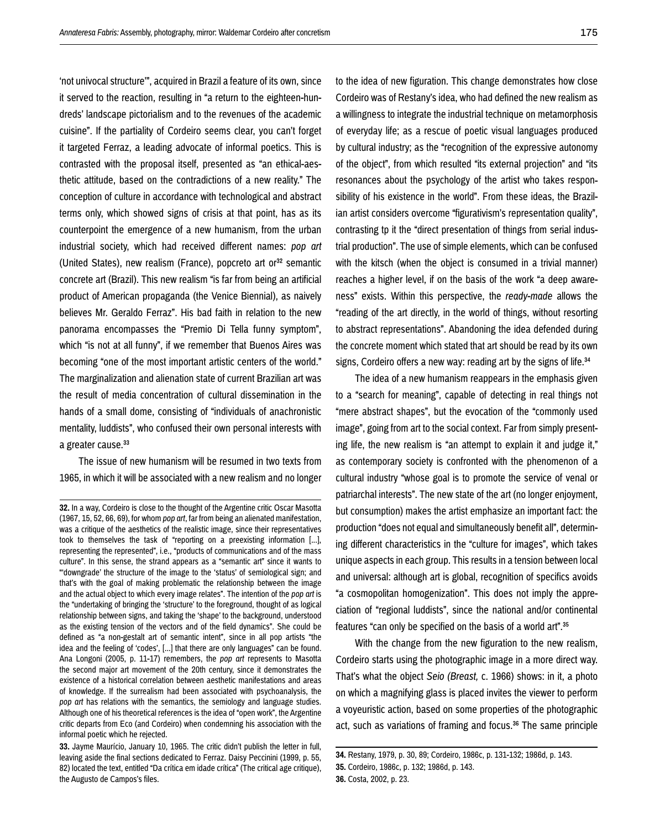'not univocal structure'", acquired in Brazil a feature of its own, since it served to the reaction, resulting in "a return to the eighteen-hundreds' landscape pictorialism and to the revenues of the academic cuisine". If the partiality of Cordeiro seems clear, you can't forget it targeted Ferraz, a leading advocate of informal poetics. This is contrasted with the proposal itself, presented as "an ethical-aesthetic attitude, based on the contradictions of a new reality." The conception of culture in accordance with technological and abstract terms only, which showed signs of crisis at that point, has as its counterpoint the emergence of a new humanism, from the urban industrial society, which had received different names: *pop art* (United States), new realism (France), popcreto art or<sup>32</sup> semantic concrete art (Brazil). This new realism "is far from being an artificial product of American propaganda (the Venice Biennial), as naively believes Mr. Geraldo Ferraz". His bad faith in relation to the new panorama encompasses the "Premio Di Tella funny symptom", which "is not at all funny", if we remember that Buenos Aires was becoming "one of the most important artistic centers of the world." The marginalization and alienation state of current Brazilian art was the result of media concentration of cultural dissemination in the hands of a small dome, consisting of "individuals of anachronistic mentality, luddists", who confused their own personal interests with a greater cause.<sup>33</sup>

The issue of new humanism will be resumed in two texts from 1965, in which it will be associated with a new realism and no longer to the idea of new figuration. This change demonstrates how close Cordeiro was of Restany's idea, who had defined the new realism as a willingness to integrate the industrial technique on metamorphosis of everyday life; as a rescue of poetic visual languages produced by cultural industry; as the "recognition of the expressive autonomy of the object", from which resulted "its external projection" and "its resonances about the psychology of the artist who takes responsibility of his existence in the world". From these ideas, the Brazilian artist considers overcome "figurativism's representation quality", contrasting tp it the "direct presentation of things from serial industrial production". The use of simple elements, which can be confused with the kitsch (when the object is consumed in a trivial manner) reaches a higher level, if on the basis of the work "a deep awareness" exists. Within this perspective, the *ready-made* allows the "reading of the art directly, in the world of things, without resorting to abstract representations". Abandoning the idea defended during the concrete moment which stated that art should be read by its own signs, Cordeiro offers a new way: reading art by the signs of life.<sup>34</sup>

The idea of a new humanism reappears in the emphasis given to a "search for meaning", capable of detecting in real things not "mere abstract shapes", but the evocation of the "commonly used image", going from art to the social context. Far from simply presenting life, the new realism is "an attempt to explain it and judge it," as contemporary society is confronted with the phenomenon of a cultural industry "whose goal is to promote the service of venal or patriarchal interests". The new state of the art (no longer enjoyment, but consumption) makes the artist emphasize an important fact: the production "does not equal and simultaneously benefit all", determining different characteristics in the "culture for images", which takes unique aspects in each group. This results in a tension between local and universal: although art is global, recognition of specifics avoids "a cosmopolitan homogenization". This does not imply the appreciation of "regional luddists", since the national and/or continental features "can only be specified on the basis of a world art".35

With the change from the new figuration to the new realism, Cordeiro starts using the photographic image in a more direct way. That's what the object *Seio (Breast,* c. 1966) shows: in it, a photo on which a magnifying glass is placed invites the viewer to perform a voyeuristic action, based on some properties of the photographic act, such as variations of framing and focus.36 The same principle

**<sup>32.</sup>** In a way, Cordeiro is close to the thought of the Argentine critic Oscar Masotta (1967, 15, 52, 66, 69), for whom *pop art*, far from being an alienated manifestation, was a critique of the aesthetics of the realistic image, since their representatives took to themselves the task of "reporting on a preexisting information [...], representing the represented", i.e., "products of communications and of the mass culture". In this sense, the strand appears as a "semantic art" since it wants to "'downgrade' the structure of the image to the 'status' of semiological sign; and that's with the goal of making problematic the relationship between the image and the actual object to which every image relates". The intention of the *pop art* is the "undertaking of bringing the 'structure' to the foreground, thought of as logical relationship between signs, and taking the 'shape' to the background, understood as the existing tension of the vectors and of the field dynamics". She could be defined as "a non-gestalt art of semantic intent", since in all pop artists "the idea and the feeling of 'codes', [...] that there are only languages" can be found. Ana Longoni (2005, p. 11-17) remembers, the *pop art* represents to Masotta the second major art movement of the 20th century, since it demonstrates the existence of a historical correlation between aesthetic manifestations and areas of knowledge. If the surrealism had been associated with psychoanalysis, the *pop art* has relations with the semantics, the semiology and language studies. Although one of his theoretical references is the idea of "open work", the Argentine critic departs from Eco (and Cordeiro) when condemning his association with the informal poetic which he rejected.

**<sup>33.</sup>** Jayme Maurício, January 10, 1965. The critic didn't publish the letter in full, leaving aside the final sections dedicated to Ferraz. Daisy Peccinini (1999, p. 55, 82) located the text, entitled "Da crítica em idade crítica" (The critical age critique), the Augusto de Campos's files.

**<sup>34.</sup>** Restany, 1979, p. 30, 89; Cordeiro, 1986c, p. 131-132; 1986d, p. 143. **35.** Cordeiro, 1986c, p. 132; 1986d, p. 143. **36.** Costa, 2002, p. 23.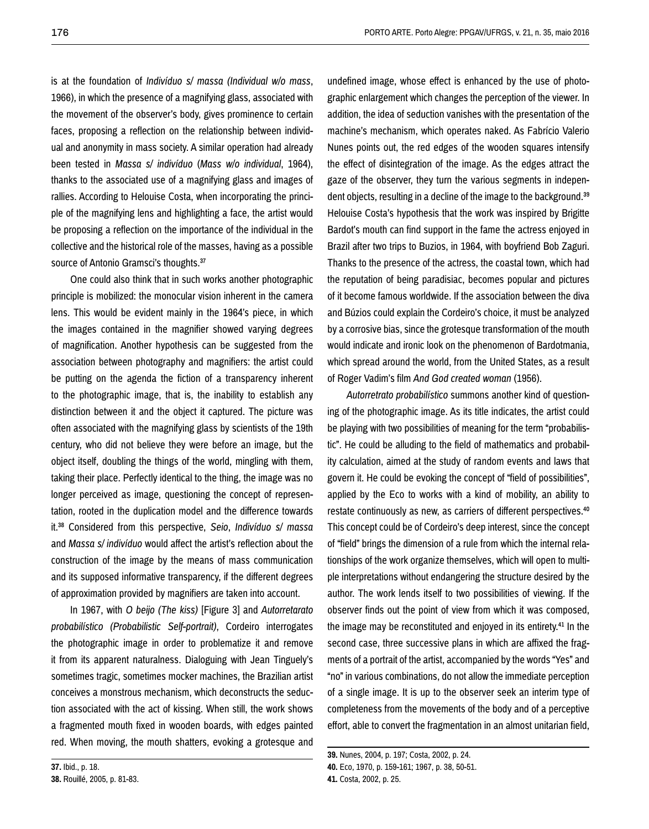is at the foundation of *Indivíduo s/ massa (Individual w/o mass*, 1966), in which the presence of a magnifying glass, associated with the movement of the observer's body, gives prominence to certain faces, proposing a reflection on the relationship between individual and anonymity in mass society. A similar operation had already been tested in *Massa s/ indivíduo* (*Mass w/o individual*, 1964), thanks to the associated use of a magnifying glass and images of rallies. According to Helouise Costa, when incorporating the principle of the magnifying lens and highlighting a face, the artist would be proposing a reflection on the importance of the individual in the collective and the historical role of the masses, having as a possible source of Antonio Gramsci's thoughts.<sup>37</sup>

One could also think that in such works another photographic principle is mobilized: the monocular vision inherent in the camera lens. This would be evident mainly in the 1964's piece, in which the images contained in the magnifier showed varying degrees of magnification. Another hypothesis can be suggested from the association between photography and magnifiers: the artist could be putting on the agenda the fiction of a transparency inherent to the photographic image, that is, the inability to establish any distinction between it and the object it captured. The picture was often associated with the magnifying glass by scientists of the 19th century, who did not believe they were before an image, but the object itself, doubling the things of the world, mingling with them, taking their place. Perfectly identical to the thing, the image was no longer perceived as image, questioning the concept of representation, rooted in the duplication model and the difference towards it.38 Considered from this perspective, *Seio*, *Indivíduo s/ massa* and *Massa s/ indivíduo* would affect the artist's reflection about the construction of the image by the means of mass communication and its supposed informative transparency, if the different degrees of approximation provided by magnifiers are taken into account.

In 1967, with *O beijo (The kiss)* [Figure 3] and *Autorretarato probabilístico (Probabilistic Self-portrait)*, Cordeiro interrogates the photographic image in order to problematize it and remove it from its apparent naturalness. Dialoguing with Jean Tinguely's sometimes tragic, sometimes mocker machines, the Brazilian artist conceives a monstrous mechanism, which deconstructs the seduction associated with the act of kissing. When still, the work shows a fragmented mouth fixed in wooden boards, with edges painted red. When moving, the mouth shatters, evoking a grotesque and

**37.** Ibid., p. 18. **38.** Rouillé, 2005, p. 81-83. undefined image, whose effect is enhanced by the use of photographic enlargement which changes the perception of the viewer. In addition, the idea of seduction vanishes with the presentation of the machine's mechanism, which operates naked. As Fabrício Valerio Nunes points out, the red edges of the wooden squares intensify the effect of disintegration of the image. As the edges attract the gaze of the observer, they turn the various segments in independent objects, resulting in a decline of the image to the background.39 Helouise Costa's hypothesis that the work was inspired by Brigitte Bardot's mouth can find support in the fame the actress enjoyed in Brazil after two trips to Buzios, in 1964, with boyfriend Bob Zaguri. Thanks to the presence of the actress, the coastal town, which had the reputation of being paradisiac, becomes popular and pictures of it become famous worldwide. If the association between the diva and Búzios could explain the Cordeiro's choice, it must be analyzed by a corrosive bias, since the grotesque transformation of the mouth would indicate and ironic look on the phenomenon of Bardotmania, which spread around the world, from the United States, as a result of Roger Vadim's film *And God created woman* (1956).

*Autorretrato probabilístico* summons another kind of questioning of the photographic image. As its title indicates, the artist could be playing with two possibilities of meaning for the term "probabilistic". He could be alluding to the field of mathematics and probability calculation, aimed at the study of random events and laws that govern it. He could be evoking the concept of "field of possibilities", applied by the Eco to works with a kind of mobility, an ability to restate continuously as new, as carriers of different perspectives.40 This concept could be of Cordeiro's deep interest, since the concept of "field" brings the dimension of a rule from which the internal relationships of the work organize themselves, which will open to multiple interpretations without endangering the structure desired by the author. The work lends itself to two possibilities of viewing. If the observer finds out the point of view from which it was composed, the image may be reconstituted and enjoyed in its entirety.41 In the second case, three successive plans in which are affixed the fragments of a portrait of the artist, accompanied by the words "Yes" and "no" in various combinations, do not allow the immediate perception of a single image. It is up to the observer seek an interim type of completeness from the movements of the body and of a perceptive effort, able to convert the fragmentation in an almost unitarian field,

**<sup>39.</sup>** Nunes, 2004, p. 197; Costa, 2002, p. 24. **40.** Eco, 1970, p. 159-161; 1967, p. 38, 50-51. **41.** Costa, 2002, p. 25.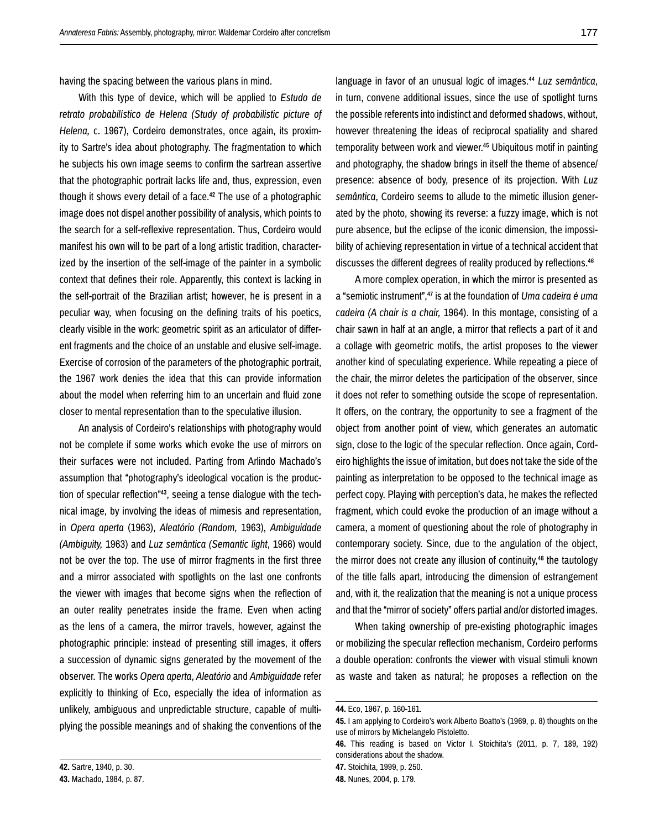having the spacing between the various plans in mind.

With this type of device, which will be applied to *Estudo de retrato probabilístico de Helena (Study of probabilistic picture of Helena,* c. 1967), Cordeiro demonstrates, once again, its proximity to Sartre's idea about photography. The fragmentation to which he subjects his own image seems to confirm the sartrean assertive that the photographic portrait lacks life and, thus, expression, even though it shows every detail of a face.<sup>42</sup> The use of a photographic image does not dispel another possibility of analysis, which points to the search for a self-reflexive representation. Thus, Cordeiro would manifest his own will to be part of a long artistic tradition, characterized by the insertion of the self-image of the painter in a symbolic context that defines their role. Apparently, this context is lacking in the self-portrait of the Brazilian artist; however, he is present in a peculiar way, when focusing on the defining traits of his poetics, clearly visible in the work: geometric spirit as an articulator of different fragments and the choice of an unstable and elusive self-image. Exercise of corrosion of the parameters of the photographic portrait, the 1967 work denies the idea that this can provide information about the model when referring him to an uncertain and fluid zone closer to mental representation than to the speculative illusion.

An analysis of Cordeiro's relationships with photography would not be complete if some works which evoke the use of mirrors on their surfaces were not included. Parting from Arlindo Machado's assumption that "photography's ideological vocation is the production of specular reflection"43, seeing a tense dialogue with the technical image, by involving the ideas of mimesis and representation, in *Opera aperta* (1963), *Aleatório (Random,* 1963), *Ambiguidade (Ambiguity,* 1963) and *Luz semântica (Semantic light*, 1966) would not be over the top. The use of mirror fragments in the first three and a mirror associated with spotlights on the last one confronts the viewer with images that become signs when the reflection of an outer reality penetrates inside the frame. Even when acting as the lens of a camera, the mirror travels, however, against the photographic principle: instead of presenting still images, it offers a succession of dynamic signs generated by the movement of the observer. The works *Opera aperta*, *Aleatório* and *Ambiguidade* refer explicitly to thinking of Eco, especially the idea of information as unlikely, ambiguous and unpredictable structure, capable of multiplying the possible meanings and of shaking the conventions of the

A more complex operation, in which the mirror is presented as a "semiotic instrument",47 is at the foundation of *Uma cadeira é uma cadeira (A chair is a chair,* 1964). In this montage, consisting of a chair sawn in half at an angle, a mirror that reflects a part of it and a collage with geometric motifs, the artist proposes to the viewer another kind of speculating experience. While repeating a piece of the chair, the mirror deletes the participation of the observer, since it does not refer to something outside the scope of representation. It offers, on the contrary, the opportunity to see a fragment of the object from another point of view, which generates an automatic sign, close to the logic of the specular reflection. Once again, Cordeiro highlights the issue of imitation, but does not take the side of the painting as interpretation to be opposed to the technical image as perfect copy. Playing with perception's data, he makes the reflected fragment, which could evoke the production of an image without a camera, a moment of questioning about the role of photography in contemporary society. Since, due to the angulation of the object, the mirror does not create any illusion of continuity,<sup>48</sup> the tautology of the title falls apart, introducing the dimension of estrangement and, with it, the realization that the meaning is not a unique process and that the "mirror of society" offers partial and/or distorted images.

When taking ownership of pre-existing photographic images or mobilizing the specular reflection mechanism, Cordeiro performs a double operation: confronts the viewer with visual stimuli known as waste and taken as natural; he proposes a reflection on the

language in favor of an unusual logic of images.44 *Luz semântica*, in turn, convene additional issues, since the use of spotlight turns the possible referents into indistinct and deformed shadows, without, however threatening the ideas of reciprocal spatiality and shared temporality between work and viewer.<sup>45</sup> Ubiquitous motif in painting and photography, the shadow brings in itself the theme of absence/ presence: absence of body, presence of its projection. With *Luz semântica*, Cordeiro seems to allude to the mimetic illusion generated by the photo, showing its reverse: a fuzzy image, which is not pure absence, but the eclipse of the iconic dimension, the impossibility of achieving representation in virtue of a technical accident that discusses the different degrees of reality produced by reflections.<sup>46</sup>

**<sup>44.</sup>** Eco, 1967, p. 160-161.

**<sup>45.</sup>** I am applying to Cordeiro's work Alberto Boatto's (1969, p. 8) thoughts on the use of mirrors by Michelangelo Pistoletto.

**<sup>46.</sup>** This reading is based on Victor I. Stoichita's (2011, p. 7, 189, 192) considerations about the shadow.

**<sup>47.</sup>** Stoichita, 1999, p. 250. **48.** Nunes, 2004, p. 179.

**<sup>42.</sup>** Sartre, 1940, p. 30.

**<sup>43.</sup>** Machado, 1984, p. 87.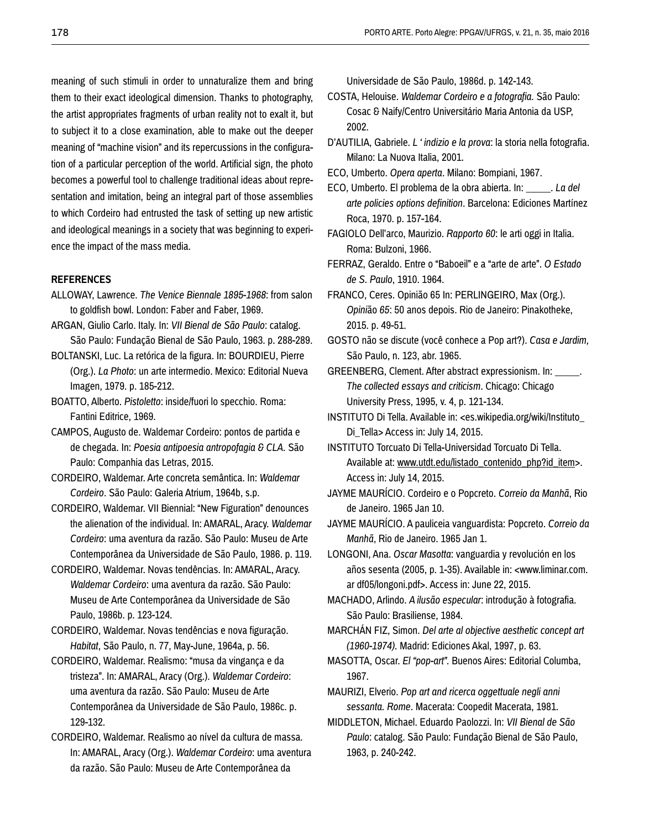meaning of such stimuli in order to unnaturalize them and bring them to their exact ideological dimension. Thanks to photography, the artist appropriates fragments of urban reality not to exalt it, but to subject it to a close examination, able to make out the deeper meaning of "machine vision" and its repercussions in the configuration of a particular perception of the world. Artificial sign, the photo becomes a powerful tool to challenge traditional ideas about representation and imitation, being an integral part of those assemblies to which Cordeiro had entrusted the task of setting up new artistic and ideological meanings in a society that was beginning to experience the impact of the mass media.

#### **REFERENCES**

- ALLOWAY, Lawrence. *The Venice Biennale 1895-1968*: from salon to goldfish bowl. London: Faber and Faber, 1969.
- ARGAN, Giulio Carlo. Italy. In: *VII Bienal de São Paulo*: catalog. São Paulo: Fundação Bienal de São Paulo, 1963. p. 288-289.
- BOLTANSKI, Luc. La retórica de la figura. In: BOURDIEU, Pierre (Org.). *La Photo*: un arte intermedio. Mexico: Editorial Nueva Imagen, 1979. p. 185-212.
- BOATTO, Alberto. *Pistoletto*: inside/fuori lo specchio. Roma: Fantini Editrice, 1969.
- CAMPOS, Augusto de. Waldemar Cordeiro: pontos de partida e de chegada. In: *Poesia antipoesia antropofagia & CLA.* São Paulo: Companhia das Letras, 2015.
- CORDEIRO, Waldemar. Arte concreta semântica. In: *Waldemar Cordeiro*. São Paulo: Galeria Atrium, 1964b, s.p.
- CORDEIRO, Waldemar. VII Biennial: "New Figuration" denounces the alienation of the individual. In: AMARAL, Aracy. *Waldemar Cordeiro*: uma aventura da razão. São Paulo: Museu de Arte Contemporânea da Universidade de São Paulo, 1986. p. 119.
- CORDEIRO, Waldemar. Novas tendências. In: AMARAL, Aracy. *Waldemar Cordeiro*: uma aventura da razão. São Paulo: Museu de Arte Contemporânea da Universidade de São Paulo, 1986b. p. 123-124.
- CORDEIRO, Waldemar. Novas tendências e nova figuração. *Habitat*, São Paulo, n. 77, May-June, 1964a, p. 56.
- CORDEIRO, Waldemar. Realismo: "musa da vingança e da tristeza". In: AMARAL, Aracy (Org.). *Waldemar Cordeiro*: uma aventura da razão. São Paulo: Museu de Arte Contemporânea da Universidade de São Paulo, 1986c. p. 129-132.
- CORDEIRO, Waldemar. Realismo ao nível da cultura de massa. In: AMARAL, Aracy (Org.). *Waldemar Cordeiro*: uma aventura da razão. São Paulo: Museu de Arte Contemporânea da

Universidade de São Paulo, 1986d. p. 142-143.

- COSTA, Helouise. *Waldemar Cordeiro e a fotografia.* São Paulo: Cosac & Naify/Centro Universitário Maria Antonia da USP, 2002.
- D'AUTILIA, Gabriele. *L ' indizio e la prova*: la storia nella fotografia. Milano: La Nuova Italia, 2001.
- ECO, Umberto. *Opera aperta*. Milano: Bompiani, 1967.
- ECO, Umberto. El problema de la obra abierta. In: \_\_\_\_\_. *La del arte policies options definition*. Barcelona: Ediciones Martínez Roca, 1970. p. 157-164.
- FAGIOLO Dell'arco, Maurizio. *Rapporto 60*: le arti oggi in Italia. Roma: Bulzoni, 1966.
- FERRAZ, Geraldo. Entre o "Baboeil" e a "arte de arte". *O Estado de S. Paulo*, 1910. 1964.
- FRANCO, Ceres. Opinião 65 In: PERLINGEIRO, Max (Org.). *Opini*ão *65*: 50 anos depois. Rio de Janeiro: Pinakotheke, 2015. p. 49-51.
- GOSTO não se discute (você conhece a Pop art?). *Casa e Jardim,* São Paulo, n. 123, abr. 1965.
- GREENBERG, Clement. After abstract expressionism. In: *The collected essays and criticism*. Chicago: Chicago University Press, 1995, v. 4, p. 121-134.
- INSTITUTO Di Tella. Available in: <es.wikipedia.org/wiki/Instituto\_ Di Tella> Access in: July 14, 2015.
- INSTITUTO Torcuato Di Tella-Universidad Torcuato Di Tella. Available at: www.utdt.edu/listado\_contenido\_php?id\_item>. Access in: July 14, 2015.
- JAYME MAURÍCIO. Cordeiro e o Popcreto. *Correio da Manhã*, Rio de Janeiro. 1965 Jan 10.
- JAYME MAURÍCIO. A pauliceia vanguardista: Popcreto. *Correio da Manhã*, Rio de Janeiro. 1965 Jan 1.
- LONGONI, Ana. *Oscar Masotta*: vanguardia y revolución en los años sesenta (2005, p. 1-35). Available in: <www.liminar.com. ar df05/longoni.pdf>. Access in: June 22, 2015.
- MACHADO, Arlindo. *A ilusão especular*: introdução à fotografia. São Paulo: Brasiliense, 1984.
- MARCHÁN FIZ, Simon. *Del arte al objective aesthetic concept art (1960-1974).* Madrid: Ediciones Akal, 1997, p. 63.
- MASOTTA, Oscar. *El "pop-art".* Buenos Aires: Editorial Columba, 1967.
- MAURIZI, Elverio. *Pop art and ricerca oggettuale negli anni sessanta. Rome*. Macerata: Coopedit Macerata, 1981.
- MIDDLETON, Michael. Eduardo Paolozzi. In: *VII Bienal de São Paulo*: catalog. São Paulo: Fundação Bienal de São Paulo, 1963, p. 240-242.